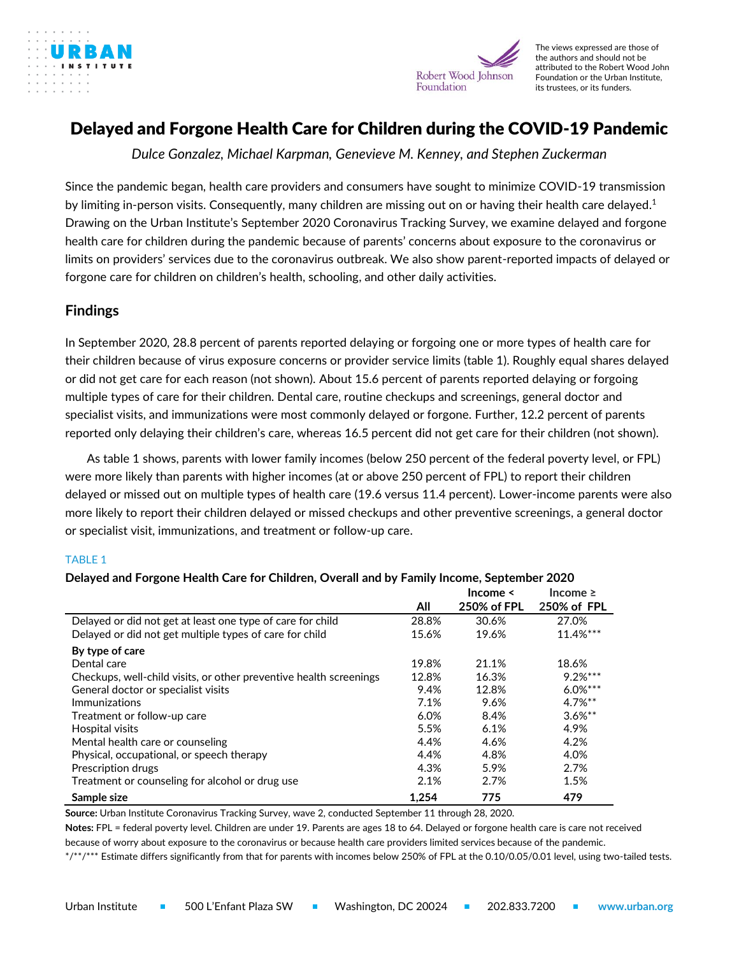



The views expressed are those of the authors and should not be attributed to the Robert Wood John Foundation or the Urban Institute, its trustees, or its funders.

# Delayed and Forgone Health Care for Children during the COVID-19 Pandemic

*Dulce Gonzalez, Michael Karpman, Genevieve M. Kenney, and Stephen Zuckerman*

Since the pandemic began, health care providers and consumers have sought to minimize COVID-19 transmission by limiting in-person visits. Consequently, many children are missing out on or having their health care delayed.<sup>1</sup> Drawing on the Urban Institute's September 2020 Coronavirus Tracking Survey, we examine delayed and forgone health care for children during the pandemic because of parents' concerns about exposure to the coronavirus or limits on providers' services due to the coronavirus outbreak. We also show parent-reported impacts of delayed or forgone care for children on children's health, schooling, and other daily activities.

### **Findings**

In September 2020, 28.8 percent of parents reported delaying or forgoing one or more types of health care for their children because of virus exposure concerns or provider service limits (table 1). Roughly equal shares delayed or did not get care for each reason (not shown). About 15.6 percent of parents reported delaying or forgoing multiple types of care for their children. Dental care, routine checkups and screenings, general doctor and specialist visits, and immunizations were most commonly delayed or forgone. Further, 12.2 percent of parents reported only delaying their children's care, whereas 16.5 percent did not get care for their children (not shown).

As table 1 shows, parents with lower family incomes (below 250 percent of the federal poverty level, or FPL) were more likely than parents with higher incomes (at or above 250 percent of FPL) to report their children delayed or missed out on multiple types of health care (19.6 versus 11.4 percent). Lower-income parents were also more likely to report their children delayed or missed checkups and other preventive screenings, a general doctor or specialist visit, immunizations, and treatment or follow-up care.

### TABLE 1

|                                                                    | All   | Income $\leq$<br>250% of FPL | Income $\geq$<br>250% of FPL |
|--------------------------------------------------------------------|-------|------------------------------|------------------------------|
| Delayed or did not get at least one type of care for child         | 28.8% | 30.6%                        | 27.0%                        |
| Delayed or did not get multiple types of care for child            | 15.6% | 19.6%                        | 11.4%***                     |
| By type of care                                                    |       |                              |                              |
| Dental care                                                        | 19.8% | 21.1%                        | 18.6%                        |
| Checkups, well-child visits, or other preventive health screenings | 12.8% | 16.3%                        | $9.2%***$                    |
| General doctor or specialist visits                                | 9.4%  | 12.8%                        | $6.0%***$                    |
| Immunizations                                                      | 7.1%  | 9.6%                         | $4.7\%**$                    |
| Treatment or follow-up care                                        | 6.0%  | 8.4%                         | $3.6\%$ **                   |
| Hospital visits                                                    | 5.5%  | 6.1%                         | 4.9%                         |
| Mental health care or counseling                                   | 4.4%  | 4.6%                         | 4.2%                         |
| Physical, occupational, or speech therapy                          | 4.4%  | 4.8%                         | 4.0%                         |
| Prescription drugs                                                 | 4.3%  | 5.9%                         | 2.7%                         |
| Treatment or counseling for alcohol or drug use                    | 2.1%  | 2.7%                         | 1.5%                         |
| Sample size                                                        | 1.254 | 775                          | 479                          |

### **Delayed and Forgone Health Care for Children, Overall and by Family Income, September 2020**

**Source:** Urban Institute Coronavirus Tracking Survey, wave 2, conducted September 11 through 28, 2020.

**Notes:** FPL = federal poverty level. Children are under 19. Parents are ages 18 to 64. Delayed or forgone health care is care not received because of worry about exposure to the coronavirus or because health care providers limited services because of the pandemic.

\*/\*\*/\*\*\* Estimate differs significantly from that for parents with incomes below 250% of FPL at the 0.10/0.05/0.01 level, using two-tailed tests.